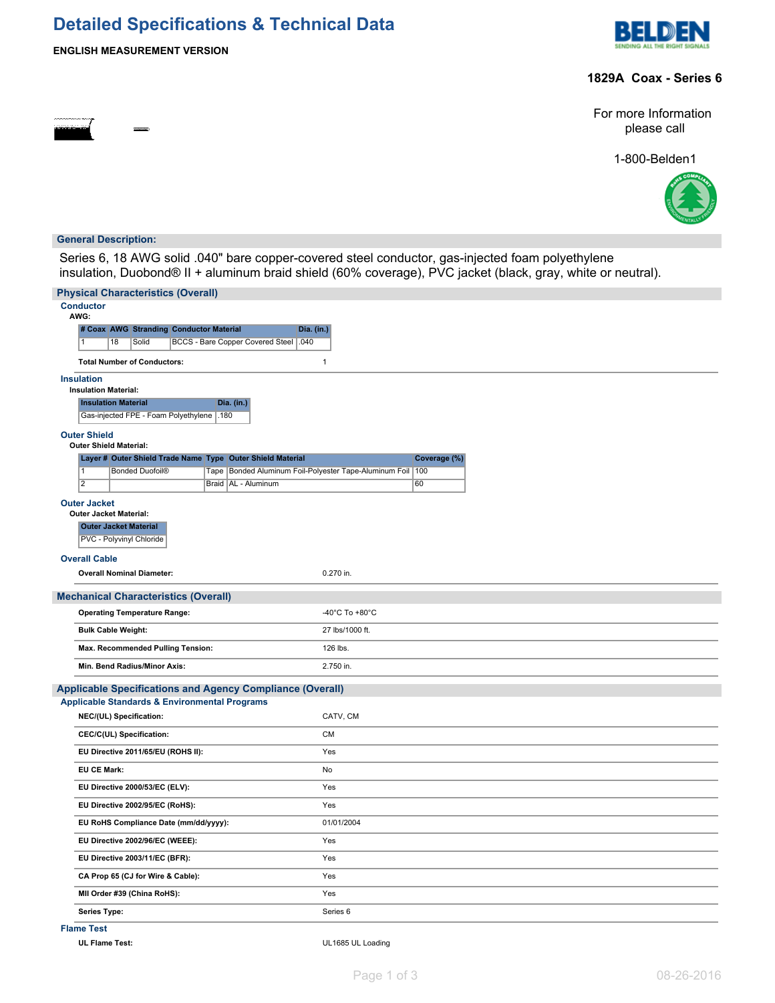# **Detailed Specifications & Technical Data**





### **1829A Coax - Series 6**

For more Information please call

1-800-Belden1



### **General Description:**

Series 6, 18 AWG solid .040" bare copper-covered steel conductor, gas-injected foam polyethylene insulation, Duobond® II + aluminum braid shield (60% coverage), PVC jacket (black, gray, white or neutral).

| <b>Physical Characteristics (Overall)</b>                                                                             |                                                                |  |  |  |  |  |  |
|-----------------------------------------------------------------------------------------------------------------------|----------------------------------------------------------------|--|--|--|--|--|--|
| <b>Conductor</b><br>AWG:                                                                                              |                                                                |  |  |  |  |  |  |
| # Coax AWG Stranding Conductor Material<br>Dia. (in.)                                                                 |                                                                |  |  |  |  |  |  |
| 18<br>Solid<br>BCCS - Bare Copper Covered Steel   .040<br>$\mathbf{1}$                                                |                                                                |  |  |  |  |  |  |
| <b>Total Number of Conductors:</b>                                                                                    | $\mathbf{1}$                                                   |  |  |  |  |  |  |
| <b>Insulation</b><br><b>Insulation Material:</b>                                                                      |                                                                |  |  |  |  |  |  |
| <b>Insulation Material</b><br>Dia. (in.)                                                                              |                                                                |  |  |  |  |  |  |
| Gas-injected FPE - Foam Polyethylene<br>.180                                                                          |                                                                |  |  |  |  |  |  |
| <b>Outer Shield</b><br><b>Outer Shield Material:</b>                                                                  |                                                                |  |  |  |  |  |  |
| Layer # Outer Shield Trade Name Type Outer Shield Material                                                            | Coverage (%)                                                   |  |  |  |  |  |  |
| $\overline{1}$<br><b>Bonded Duofoil®</b>                                                                              | Tape   Bonded Aluminum Foil-Polyester Tape-Aluminum Foil   100 |  |  |  |  |  |  |
| $\overline{2}$<br>Braid   AL - Aluminum                                                                               | 60                                                             |  |  |  |  |  |  |
| <b>Outer Jacket</b>                                                                                                   |                                                                |  |  |  |  |  |  |
| <b>Outer Jacket Material:</b><br><b>Outer Jacket Material</b>                                                         |                                                                |  |  |  |  |  |  |
| PVC - Polyvinyl Chloride                                                                                              |                                                                |  |  |  |  |  |  |
| <b>Overall Cable</b>                                                                                                  |                                                                |  |  |  |  |  |  |
| <b>Overall Nominal Diameter:</b>                                                                                      | 0.270 in.                                                      |  |  |  |  |  |  |
| <b>Mechanical Characteristics (Overall)</b>                                                                           |                                                                |  |  |  |  |  |  |
| <b>Operating Temperature Range:</b>                                                                                   | -40°C To +80°C                                                 |  |  |  |  |  |  |
| <b>Bulk Cable Weight:</b>                                                                                             | 27 lbs/1000 ft.                                                |  |  |  |  |  |  |
| Max. Recommended Pulling Tension:                                                                                     | 126 lbs.                                                       |  |  |  |  |  |  |
| Min. Bend Radius/Minor Axis:                                                                                          | 2.750 in.                                                      |  |  |  |  |  |  |
|                                                                                                                       |                                                                |  |  |  |  |  |  |
| Applicable Specifications and Agency Compliance (Overall)<br><b>Applicable Standards &amp; Environmental Programs</b> |                                                                |  |  |  |  |  |  |
| NEC/(UL) Specification:                                                                                               | CATV, CM                                                       |  |  |  |  |  |  |
| CEC/C(UL) Specification:                                                                                              | <b>CM</b>                                                      |  |  |  |  |  |  |
| EU Directive 2011/65/EU (ROHS II):                                                                                    | Yes                                                            |  |  |  |  |  |  |
| <b>EU CE Mark:</b>                                                                                                    | No                                                             |  |  |  |  |  |  |
| EU Directive 2000/53/EC (ELV):                                                                                        | Yes                                                            |  |  |  |  |  |  |
| EU Directive 2002/95/EC (RoHS):                                                                                       | Yes                                                            |  |  |  |  |  |  |
| EU RoHS Compliance Date (mm/dd/yyyy):                                                                                 | 01/01/2004                                                     |  |  |  |  |  |  |
| EU Directive 2002/96/EC (WEEE):                                                                                       | Yes                                                            |  |  |  |  |  |  |
| EU Directive 2003/11/EC (BFR):                                                                                        | Yes                                                            |  |  |  |  |  |  |
| CA Prop 65 (CJ for Wire & Cable):                                                                                     | Yes                                                            |  |  |  |  |  |  |
| MII Order #39 (China RoHS):                                                                                           | Yes                                                            |  |  |  |  |  |  |
| Series Type:                                                                                                          | Series <sub>6</sub>                                            |  |  |  |  |  |  |

**Flame Test**

**UL Flame Test:** UL1685 UL Loading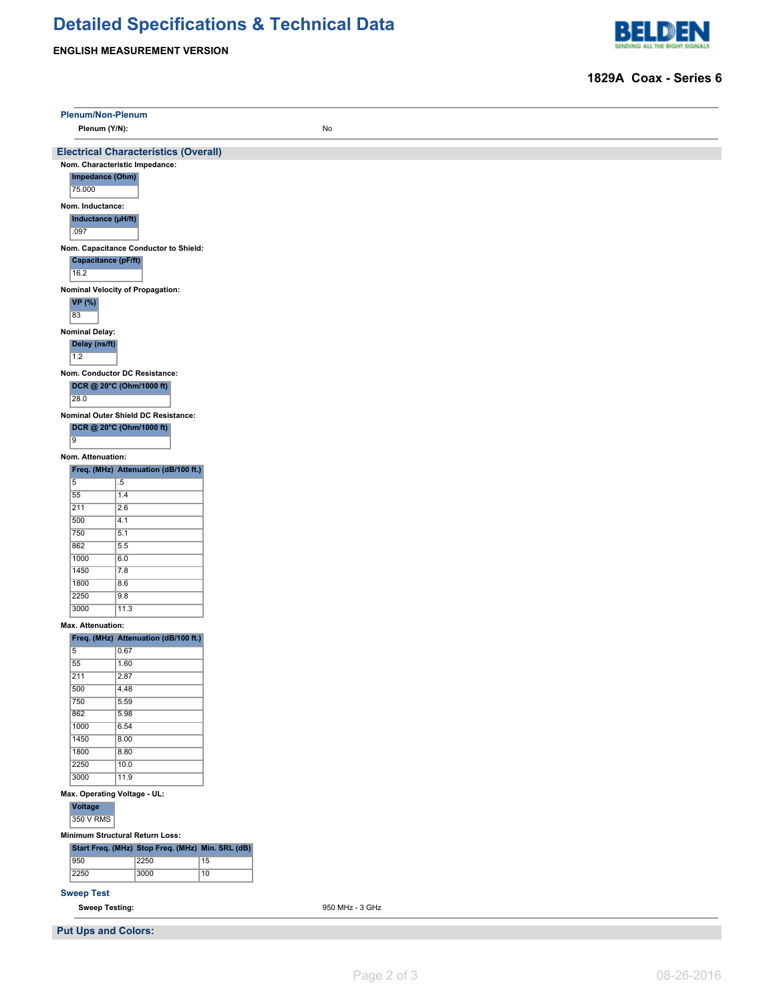# **Detailed Specifications & Technical Data**

**ENGLISH MEASUREMENT VERSION**



### **1829A Coax - Series 6**

| Plenum/Non-Plenum           |                                                                               |                 |  |  |  |  |  |
|-----------------------------|-------------------------------------------------------------------------------|-----------------|--|--|--|--|--|
| Plenum (Y/N):               |                                                                               | No              |  |  |  |  |  |
|                             |                                                                               |                 |  |  |  |  |  |
|                             | <b>Electrical Characteristics (Overall)</b><br>Nom. Characteristic Impedance: |                 |  |  |  |  |  |
| Impedance (Ohm)             |                                                                               |                 |  |  |  |  |  |
| 75.000                      |                                                                               |                 |  |  |  |  |  |
| Nom. Inductance:            |                                                                               |                 |  |  |  |  |  |
| Inductance (µH/ft)<br>.097  |                                                                               |                 |  |  |  |  |  |
|                             | Nom. Capacitance Conductor to Shield:                                         |                 |  |  |  |  |  |
| Capacitance (pF/ft)<br>16.2 |                                                                               |                 |  |  |  |  |  |
|                             | Nominal Velocity of Propagation:                                              |                 |  |  |  |  |  |
| VP (%)<br>83                |                                                                               |                 |  |  |  |  |  |
| <b>Nominal Delay:</b>       |                                                                               |                 |  |  |  |  |  |
| Delay (ns/ft)<br>1.2        |                                                                               |                 |  |  |  |  |  |
|                             | Nom. Conductor DC Resistance:                                                 |                 |  |  |  |  |  |
|                             | DCR @ 20°C (Ohm/1000 ft)                                                      |                 |  |  |  |  |  |
| 28.0                        |                                                                               |                 |  |  |  |  |  |
|                             | Nominal Outer Shield DC Resistance:                                           |                 |  |  |  |  |  |
|                             | DCR @ 20°C (Ohm/1000 ft)                                                      |                 |  |  |  |  |  |
| $\overline{9}$              |                                                                               |                 |  |  |  |  |  |
| Nom. Attenuation:           |                                                                               |                 |  |  |  |  |  |
| $\overline{5}$              | Freq. (MHz) Attenuation (dB/100 ft.)<br>$.5\,$                                |                 |  |  |  |  |  |
| 55                          | 1.4                                                                           |                 |  |  |  |  |  |
| 211                         | 2.6                                                                           |                 |  |  |  |  |  |
| 500                         | 4.1                                                                           |                 |  |  |  |  |  |
| 750                         | 5.1                                                                           |                 |  |  |  |  |  |
| 862<br>1000                 | 5.5<br>6.0                                                                    |                 |  |  |  |  |  |
| 1450                        | 7.8                                                                           |                 |  |  |  |  |  |
| 1800                        | 8.6                                                                           |                 |  |  |  |  |  |
| 2250                        | 9.8                                                                           |                 |  |  |  |  |  |
| 3000                        | 11.3                                                                          |                 |  |  |  |  |  |
| Max. Attenuation:           |                                                                               |                 |  |  |  |  |  |
|                             | Freq. (MHz) Attenuation (dB/100 ft.)                                          |                 |  |  |  |  |  |
| $\overline{5}$<br>55        | 0.67<br>1.60                                                                  |                 |  |  |  |  |  |
| 211                         | 2.87                                                                          |                 |  |  |  |  |  |
| 500                         | 4.48                                                                          |                 |  |  |  |  |  |
| 750                         | 5.59                                                                          |                 |  |  |  |  |  |
| 862                         | 5.98                                                                          |                 |  |  |  |  |  |
| 1000<br>1450                | 6.54                                                                          |                 |  |  |  |  |  |
| 1800                        | 8.00<br>8.80                                                                  |                 |  |  |  |  |  |
| 2250                        | 10.0                                                                          |                 |  |  |  |  |  |
| 3000                        | 11.9                                                                          |                 |  |  |  |  |  |
| Voltage                     | Max. Operating Voltage - UL:                                                  |                 |  |  |  |  |  |
| 350 V RMS                   |                                                                               |                 |  |  |  |  |  |
|                             | Minimum Structural Return Loss:                                               |                 |  |  |  |  |  |
|                             | Start Freq. (MHz) Stop Freq. (MHz) Min. SRL (dB)                              |                 |  |  |  |  |  |
| 950                         | 2250                                                                          | 15              |  |  |  |  |  |
| 2250                        | 3000                                                                          | $\overline{10}$ |  |  |  |  |  |
| <b>Sweep Test</b>           |                                                                               |                 |  |  |  |  |  |
|                             | <b>Sweep Testing:</b><br>950 MHz - 3 GHz                                      |                 |  |  |  |  |  |
| <b>Put Ups and Colors:</b>  |                                                                               |                 |  |  |  |  |  |